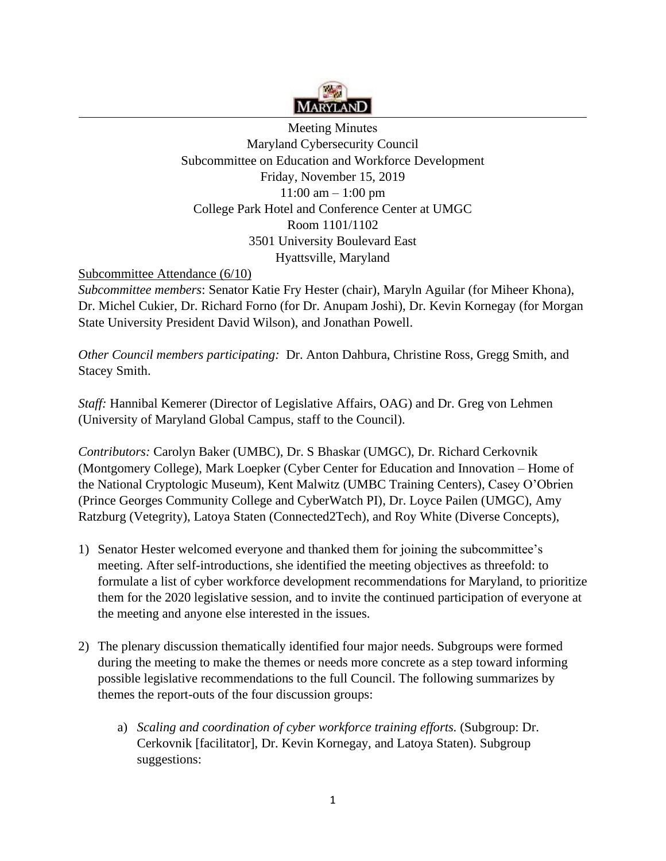

Meeting Minutes Maryland Cybersecurity Council Subcommittee on Education and Workforce Development Friday, November 15, 2019  $11:00 \text{ am} - 1:00 \text{ pm}$ College Park Hotel and Conference Center at UMGC Room 1101/1102 3501 University Boulevard East Hyattsville, Maryland

## Subcommittee Attendance (6/10)

 *Subcommittee members*: Senator Katie Fry Hester (chair), Maryln Aguilar (for Miheer Khona), Dr. Michel Cukier, Dr. Richard Forno (for Dr. Anupam Joshi), Dr. Kevin Kornegay (for Morgan State University President David Wilson), and Jonathan Powell.

*Other Council members participating:* Dr. Anton Dahbura, Christine Ross, Gregg Smith, and Stacey Smith.

*Staff:* Hannibal Kemerer (Director of Legislative Affairs, OAG) and Dr. Greg von Lehmen (University of Maryland Global Campus, staff to the Council).

*Contributors:* Carolyn Baker (UMBC), Dr. S Bhaskar (UMGC), Dr. Richard Cerkovnik (Montgomery College), Mark Loepker (Cyber Center for Education and Innovation – Home of the National Cryptologic Museum), Kent Malwitz (UMBC Training Centers), Casey O'Obrien (Prince Georges Community College and CyberWatch PI), Dr. Loyce Pailen (UMGC), Amy Ratzburg (Vetegrity), Latoya Staten (Connected2Tech), and Roy White (Diverse Concepts),

- 1) Senator Hester welcomed everyone and thanked them for joining the subcommittee's meeting. After self-introductions, she identified the meeting objectives as threefold: to formulate a list of cyber workforce development recommendations for Maryland, to prioritize them for the 2020 legislative session, and to invite the continued participation of everyone at the meeting and anyone else interested in the issues.
- 2) The plenary discussion thematically identified four major needs. Subgroups were formed during the meeting to make the themes or needs more concrete as a step toward informing possible legislative recommendations to the full Council. The following summarizes by themes the report-outs of the four discussion groups:
	- a) *Scaling and coordination of cyber workforce training efforts.* (Subgroup: Dr. Cerkovnik [facilitator], Dr. Kevin Kornegay, and Latoya Staten). Subgroup suggestions: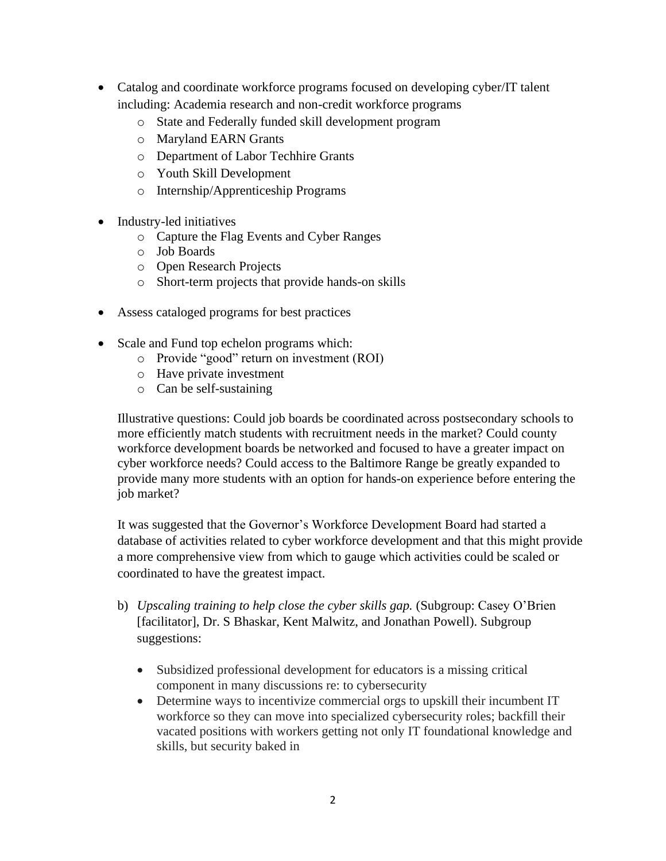- Catalog and coordinate workforce programs focused on developing cyber/IT talent including: Academia research and non-credit workforce programs
	- o State and Federally funded skill development program
	- o Maryland EARN Grants
	- o Department of Labor Techhire Grants
	- o Youth Skill Development
	- o Internship/Apprenticeship Programs
- Industry-led initiatives
	- o Capture the Flag Events and Cyber Ranges
	- o Job Boards
	- o Open Research Projects
	- o Short-term projects that provide hands-on skills
- Assess cataloged programs for best practices
- Scale and Fund top echelon programs which:
	- o Provide "good" return on investment (ROI)
	- o Have private investment
	- o Can be self-sustaining

job market? Illustrative questions: Could job boards be coordinated across postsecondary schools to more efficiently match students with recruitment needs in the market? Could county workforce development boards be networked and focused to have a greater impact on cyber workforce needs? Could access to the Baltimore Range be greatly expanded to provide many more students with an option for hands-on experience before entering the

It was suggested that the Governor's Workforce Development Board had started a database of activities related to cyber workforce development and that this might provide a more comprehensive view from which to gauge which activities could be scaled or coordinated to have the greatest impact.

- b) *Upscaling training to help close the cyber skills gap.* (Subgroup: Casey O'Brien [facilitator], Dr. S Bhaskar, Kent Malwitz, and Jonathan Powell). Subgroup suggestions:
	- Subsidized professional development for educators is a missing critical component in many discussions re: to cybersecurity
	- Determine ways to incentivize commercial orgs to upskill their incumbent IT workforce so they can move into specialized cybersecurity roles; backfill their vacated positions with workers getting not only IT foundational knowledge and skills, but security baked in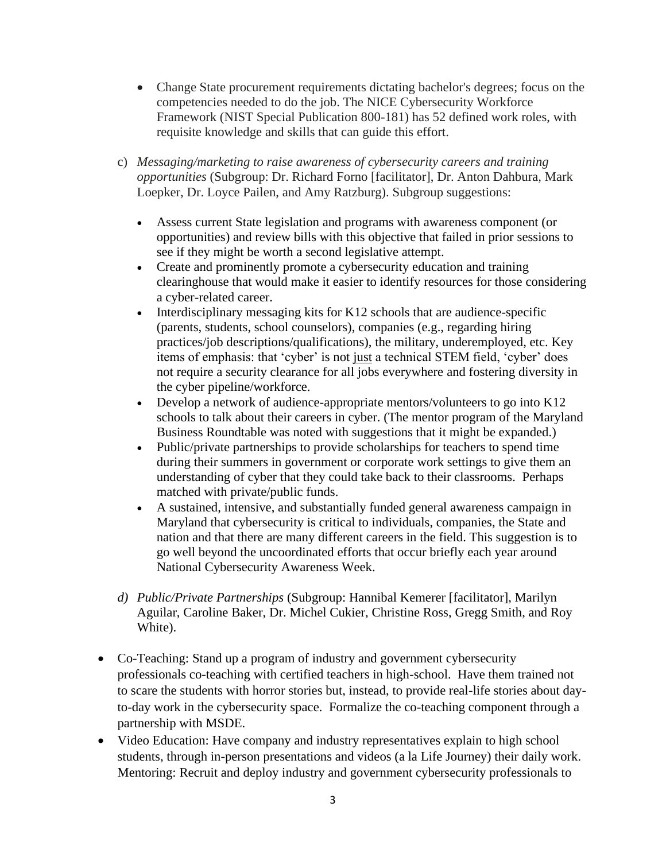- Change State procurement requirements dictating bachelor's degrees; focus on the competencies needed to do the job. The NICE Cybersecurity Workforce Framework (NIST Special Publication 800-181) has 52 defined work roles, with requisite knowledge and skills that can guide this effort.
- c) Messaging/marketing to raise awareness of cybersecurity careers and training *opportunities* (Subgroup: Dr. Richard Forno [facilitator], Dr. Anton Dahbura, Mark Loepker, Dr. Loyce Pailen, and Amy Ratzburg). Subgroup suggestions:
	- see if they might be worth a second legislative attempt. • Assess current State legislation and programs with awareness component (or opportunities) and review bills with this objective that failed in prior sessions to
	- • Create and prominently promote a cybersecurity education and training clearinghouse that would make it easier to identify resources for those considering a cyber-related career.
	- items of emphasis: that 'cyber' is not just a technical STEM field, 'cyber' does • Interdisciplinary messaging kits for  $K12$  schools that are audience-specific (parents, students, school counselors), companies (e.g., regarding hiring practices/job descriptions/qualifications), the military, underemployed, etc. Key not require a security clearance for all jobs everywhere and fostering diversity in the cyber pipeline/workforce.
	- Business Roundtable was noted with suggestions that it might be expanded.) • Develop a network of audience-appropriate mentors/volunteers to go into K12 schools to talk about their careers in cyber. (The mentor program of the Maryland
	- Public/private partnerships to provide scholarships for teachers to spend time during their summers in government or corporate work settings to give them an understanding of cyber that they could take back to their classrooms. Perhaps matched with private/public funds.
	- nation and that there are many different careers in the field. This suggestion is to • A sustained, intensive, and substantially funded general awareness campaign in Maryland that cybersecurity is critical to individuals, companies, the State and go well beyond the uncoordinated efforts that occur briefly each year around National Cybersecurity Awareness Week.
- *d) Public/Private Partnerships* (Subgroup: Hannibal Kemerer [facilitator], Marilyn Aguilar, Caroline Baker, Dr. Michel Cukier, Christine Ross, Gregg Smith, and Roy White).
- to-day work in the cybersecurity space. Formalize the co-teaching component through a • Co-Teaching: Stand up a program of industry and government cybersecurity professionals co-teaching with certified teachers in high-school. Have them trained not to scare the students with horror stories but, instead, to provide real-life stories about daypartnership with MSDE.
- students, through in-person presentations and videos (a la Life Journey) their daily work. • Video Education: Have company and industry representatives explain to high school Mentoring: Recruit and deploy industry and government cybersecurity professionals to